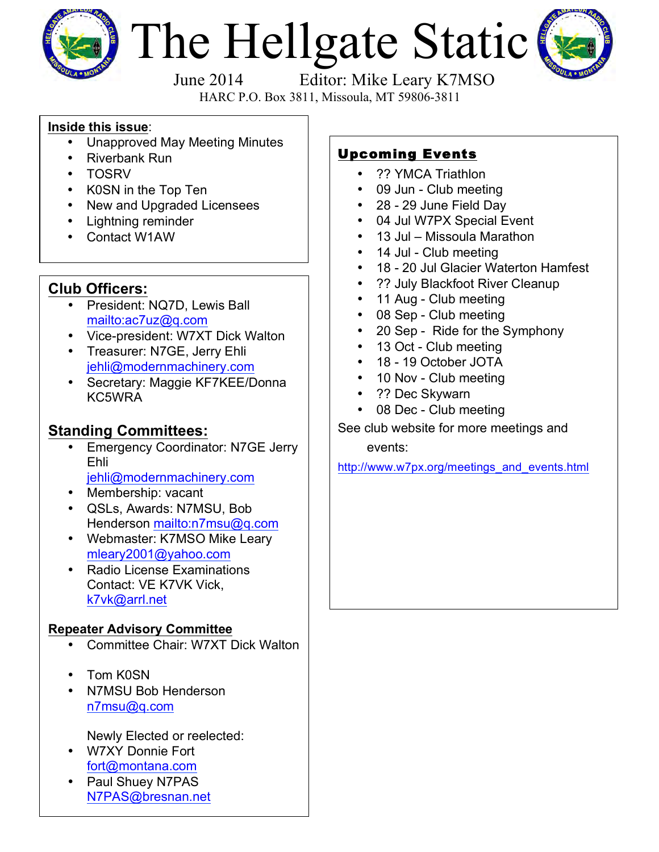

# The Hellgate Static



HARC P.O. Box 3811, Missoula, MT 59806-3811

## **Inside this issue**:

- Unapproved May Meeting Minutes
- Riverbank Run
- TOSRV
- K0SN in the Top Ten
- New and Upgraded Licensees
- Lightning reminder
- Contact W1AW

# **Club Officers:**

- President: NQ7D, Lewis Ball mailto:ac7uz@q.com
- Vice-president: W7XT Dick Walton
- Treasurer: N7GE, Jerry Ehli jehli@modernmachinery.com
- Secretary: Maggie KF7KEE/Donna KC5WRA

# **Standing Committees:**

- **Emergency Coordinator: N7GE Jerry** Ehli jehli@modernmachinery.com
- Membership: vacant
- QSLs, Awards: N7MSU, Bob Henderson mailto:n7msu@q.com
- Webmaster: K7MSO Mike Leary mleary2001@yahoo.com
- Radio License Examinations Contact: VE K7VK Vick, k7vk@arrl.net

## **Repeater Advisory Committee**

- Committee Chair: W7XT Dick Walton
- Tom K0SN
- N7MSU Bob Henderson n7msu@q.com

Newly Elected or reelected:

- W7XY Donnie Fort fort@montana.com
- Paul Shuey N7PAS N7PAS@bresnan.net

# Upcoming Events

- ?? YMCA Triathlon
- 09 Jun Club meeting
- 28 29 June Field Day
- 04 Jul W7PX Special Event
- 13 Jul Missoula Marathon
- 14 Jul Club meeting
- 18 20 Jul Glacier Waterton Hamfest
- ?? July Blackfoot River Cleanup
- 11 Aug Club meeting
- 08 Sep Club meeting
- 20 Sep Ride for the Symphony
- 13 Oct Club meeting
- 18 19 October JOTA
- 10 Nov Club meeting
- ?? Dec Skywarn
- 08 Dec Club meeting
- See club website for more meetings and

events:

http://www.w7px.org/meetings\_and\_events.html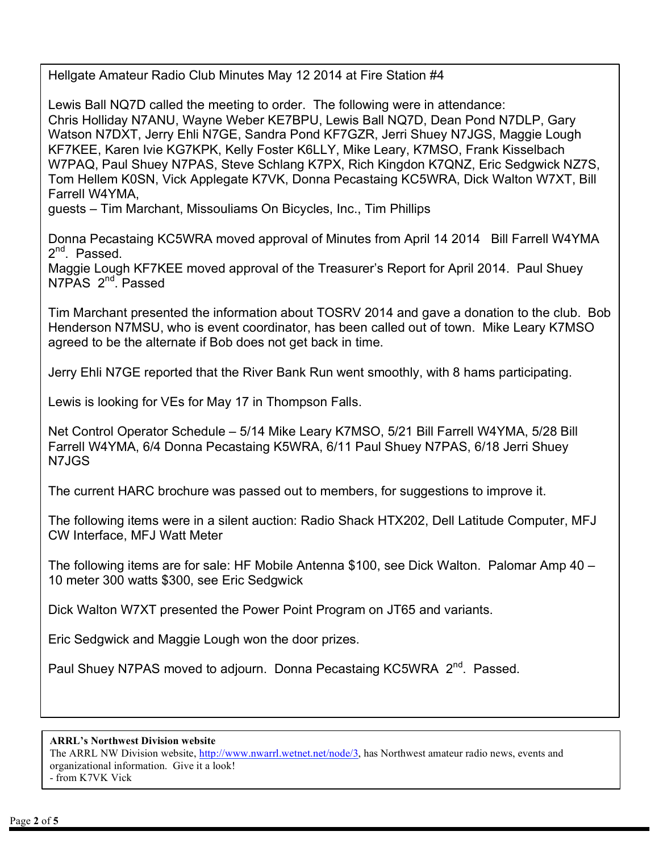Hellgate Amateur Radio Club Minutes May 12 2014 at Fire Station #4

Lewis Ball NQ7D called the meeting to order. The following were in attendance: Chris Holliday N7ANU, Wayne Weber KE7BPU, Lewis Ball NQ7D, Dean Pond N7DLP, Gary Watson N7DXT, Jerry Ehli N7GE, Sandra Pond KF7GZR, Jerri Shuey N7JGS, Maggie Lough KF7KEE, Karen Ivie KG7KPK, Kelly Foster K6LLY, Mike Leary, K7MSO, Frank Kisselbach W7PAQ, Paul Shuey N7PAS, Steve Schlang K7PX, Rich Kingdon K7QNZ, Eric Sedgwick NZ7S, Tom Hellem K0SN, Vick Applegate K7VK, Donna Pecastaing KC5WRA, Dick Walton W7XT, Bill Farrell W4YMA,

guests – Tim Marchant, Missouliams On Bicycles, Inc., Tim Phillips

Donna Pecastaing KC5WRA moved approval of Minutes from April 14 2014 Bill Farrell W4YMA 2<sup>nd</sup>. Passed.

Maggie Lough KF7KEE moved approval of the Treasurer's Report for April 2014. Paul Shuey N7PAS 2<sup>nd</sup>. Passed

Tim Marchant presented the information about TOSRV 2014 and gave a donation to the club. Bob Henderson N7MSU, who is event coordinator, has been called out of town. Mike Leary K7MSO agreed to be the alternate if Bob does not get back in time.

Jerry Ehli N7GE reported that the River Bank Run went smoothly, with 8 hams participating.

Lewis is looking for VEs for May 17 in Thompson Falls.

Net Control Operator Schedule – 5/14 Mike Leary K7MSO, 5/21 Bill Farrell W4YMA, 5/28 Bill Farrell W4YMA, 6/4 Donna Pecastaing K5WRA, 6/11 Paul Shuey N7PAS, 6/18 Jerri Shuey N7JGS

The current HARC brochure was passed out to members, for suggestions to improve it.

The following items were in a silent auction: Radio Shack HTX202, Dell Latitude Computer, MFJ CW Interface, MFJ Watt Meter

The following items are for sale: HF Mobile Antenna \$100, see Dick Walton. Palomar Amp 40 – 10 meter 300 watts \$300, see Eric Sedgwick

Dick Walton W7XT presented the Power Point Program on JT65 and variants.

Eric Sedgwick and Maggie Lough won the door prizes.

Paul Shuey N7PAS moved to adjourn. Donna Pecastaing KC5WRA 2<sup>nd</sup>. Passed.

**ARRL's Northwest Division website**

The ARRL NW Division website, http://www.nwarrl.wetnet.net/node/3, has Northwest amateur radio news, events and organizational information. Give it a look! - from K7VK Vick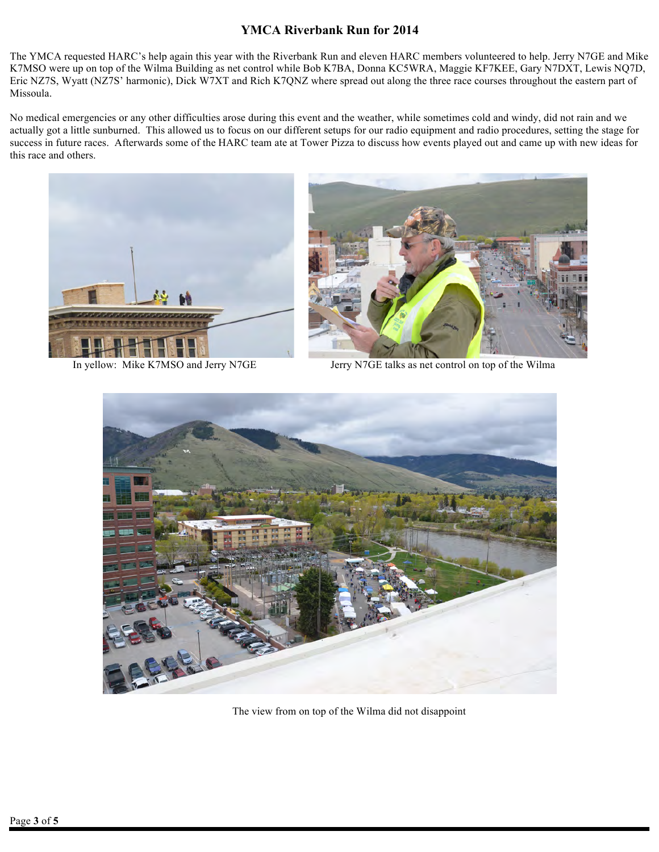### **YMCA Riverbank Run for 2014**

The YMCA requested HARC's help again this year with the Riverbank Run and eleven HARC members volunteered to help. Jerry N7GE and Mike K7MSO were up on top of the Wilma Building as net control while Bob K7BA, Donna KC5WRA, Maggie KF7KEE, Gary N7DXT, Lewis NQ7D, Eric NZ7S, Wyatt (NZ7S' harmonic), Dick W7XT and Rich K7QNZ where spread out along the three race courses throughout the eastern part of Missoula.

No medical emergencies or any other difficulties arose during this event and the weather, while sometimes cold and windy, did not rain and we actually got a little sunburned. This allowed us to focus on our different setups for our radio equipment and radio procedures, setting the stage for success in future races. Afterwards some of the HARC team ate at Tower Pizza to discuss how events played out and came up with new ideas for this race and others.





In yellow: Mike K7MSO and Jerry N7GE Jerry N7GE talks as net control on top of the Wilma



The view from on top of the Wilma did not disappoint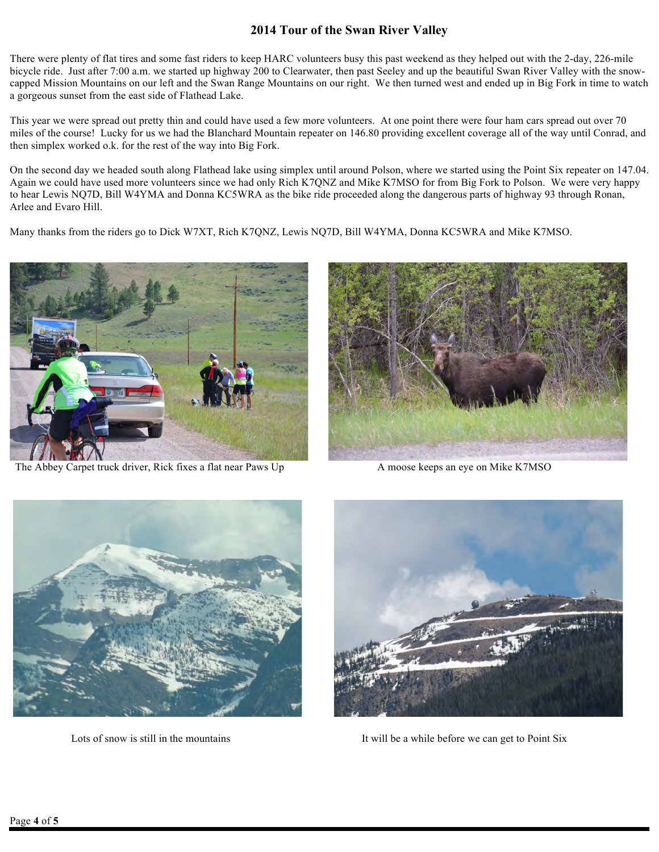## **2014 Tour of the Swan River Valley**

There were plenty of flat tires and some fast riders to keep HARC volunteers busy this past weekend as they helped out with the 2-day, 226-mile bicycle ride. Just after 7:00 a.m. we started up highway 200 to Clearwater, then past Seeley and up the beautiful Swan River Valley with the snowcapped Mission Mountains on our left and the Swan Range Mountains on our right. We then turned west and ended up in Big Fork in time to watch a gorgeous sunset from the east side of Flathead Lake.

This year we were spread out pretty thin and could have used a few more volunteers. At one point there were four ham cars spread out over 70 miles of the course! Lucky for us we had the Blanchard Mountain repeater on 146.80 providing excellent coverage all of the way until Conrad, and then simplex worked o.k. for the rest of the way into Big Fork.

On the second day we headed south along Flathead lake using simplex until around Polson, where we started using the Point Six repeater on 147.04. Again we could have used more volunteers since we had only Rich K7QNZ and Mike K7MSO for from Big Fork to Polson. We were very happy to hear Lewis NQ7D, Bill W4YMA and Donna KC5WRA as the bike ride proceeded along the dangerous parts of highway 93 through Ronan, Arlee and Evaro Hill.

Many thanks from the riders go to Dick W7XT, Rich K7QNZ, Lewis NQ7D, Bill W4YMA, Donna KC5WRA and Mike K7MSO.



The Abbey Carpet truck driver, Rick fixes a flat near Paws Up A moose keeps an eye on Mike K7MSO







Lots of snow is still in the mountains It will be a while before we can get to Point Six